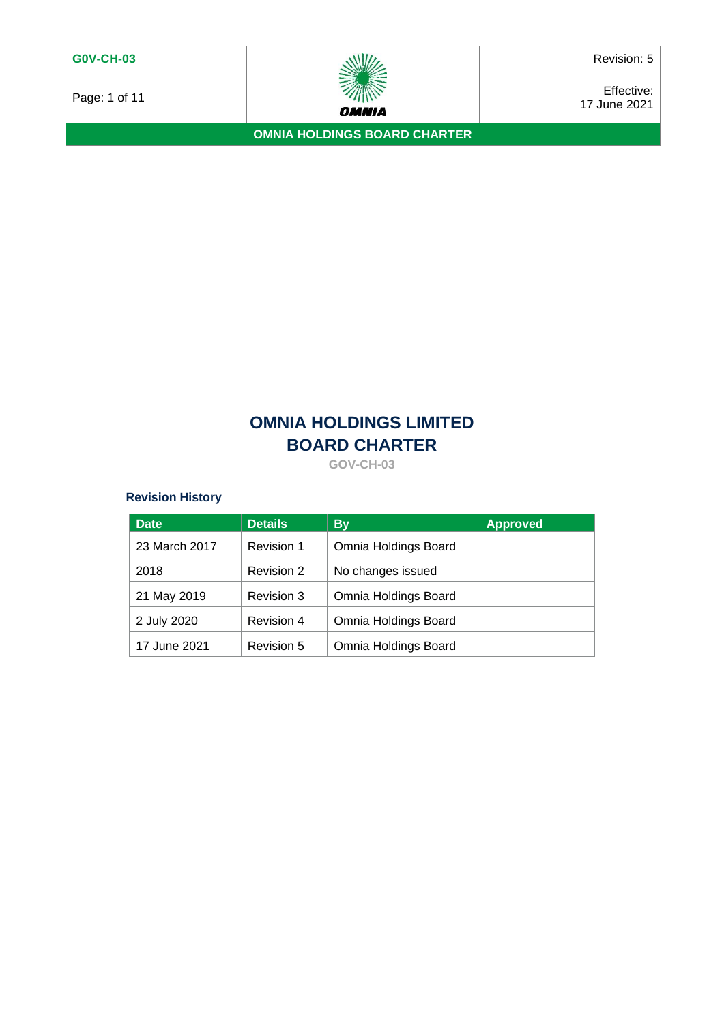Page: 1 of 11  $\overbrace{\smash{\mathcal{W}\hspace{0.03cm}\mathcal{W}\hspace{0.03cm}\mathcal{W}\hspace{0.03cm}\mathcal{W}\hspace{0.03cm}\mathcal{W}\hspace{0.03cm}\mathcal{W}\hspace{0.03cm}\mathcal{W}\hspace{0.03cm}\mathcal{W}\hspace{0.03cm}\mathcal{W}\hspace{0.03cm}\mathcal{W}\hspace{0.03cm}\mathcal{W}\hspace{0.03cm}\mathcal{W}\hspace{0.03cm}\mathcal{W}\hspace{0.03cm}\mathcal{W}\hspace{0.03cm}\mathcal{$ 17 June 2021

**OMNIA HOLDINGS BOARD CHARTER**

# **OMNIA HOLDINGS LIMITED BOARD CHARTER**

**GOV-CH-03**

# **Revision History**

| <b>Date</b>   | <b>Details</b> | <b>By</b>            | <b>Approved</b> |
|---------------|----------------|----------------------|-----------------|
| 23 March 2017 | Revision 1     | Omnia Holdings Board |                 |
| 2018          | Revision 2     | No changes issued    |                 |
| 21 May 2019   | Revision 3     | Omnia Holdings Board |                 |
| 2 July 2020   | Revision 4     | Omnia Holdings Board |                 |
| 17 June 2021  | Revision 5     | Omnia Holdings Board |                 |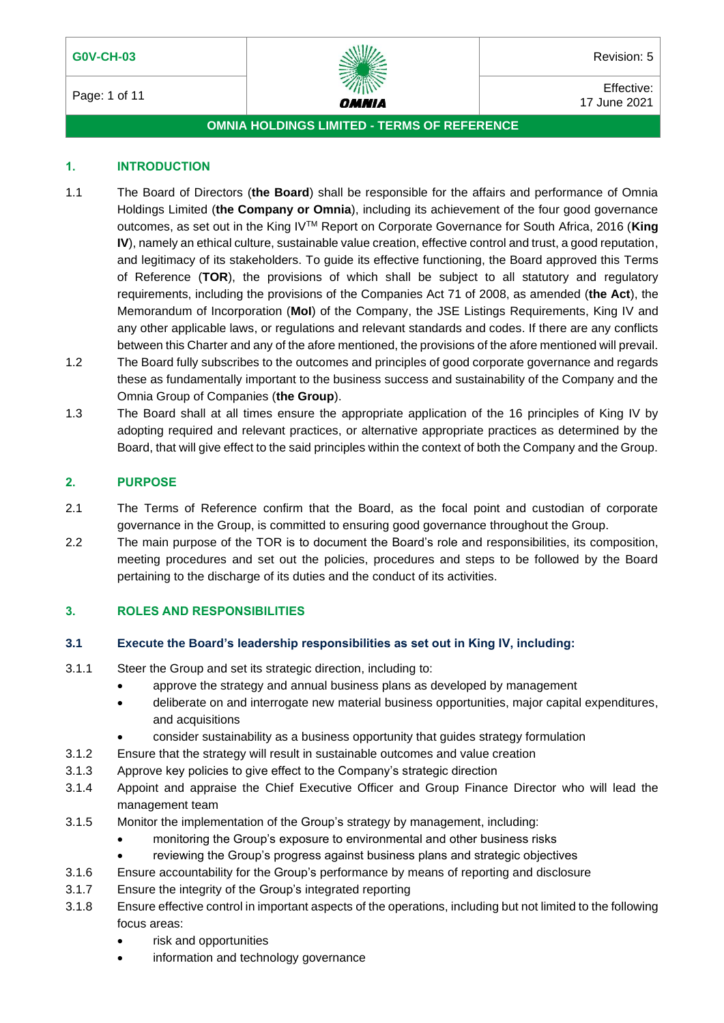## **G0V-CH-03** Revision: 5



Page: 1 of 11 **Effective:**  $\frac{m}{n}$   $\frac{m}{n}$   $\frac{m}{n}$  Effective: 17 June 2021

## **OMNIA HOLDINGS LIMITED - TERMS OF REFERENCE**

## **1. INTRODUCTION**

- 1.1 The Board of Directors (**the Board**) shall be responsible for the affairs and performance of Omnia Holdings Limited (**the Company or Omnia**), including its achievement of the four good governance outcomes, as set out in the King IVTM Report on Corporate Governance for South Africa, 2016 (**King IV**), namely an ethical culture, sustainable value creation, effective control and trust, a good reputation, and legitimacy of its stakeholders. To guide its effective functioning, the Board approved this Terms of Reference (**TOR**), the provisions of which shall be subject to all statutory and regulatory requirements, including the provisions of the Companies Act 71 of 2008, as amended (**the Act**), the Memorandum of Incorporation (**MoI**) of the Company, the JSE Listings Requirements, King IV and any other applicable laws, or regulations and relevant standards and codes. If there are any conflicts between this Charter and any of the afore mentioned, the provisions of the afore mentioned will prevail.
- 1.2 The Board fully subscribes to the outcomes and principles of good corporate governance and regards these as fundamentally important to the business success and sustainability of the Company and the Omnia Group of Companies (**the Group**).
- 1.3 The Board shall at all times ensure the appropriate application of the 16 principles of King IV by adopting required and relevant practices, or alternative appropriate practices as determined by the Board, that will give effect to the said principles within the context of both the Company and the Group.

## **2. PURPOSE**

- 2.1 The Terms of Reference confirm that the Board, as the focal point and custodian of corporate governance in the Group, is committed to ensuring good governance throughout the Group.
- 2.2 The main purpose of the TOR is to document the Board's role and responsibilities, its composition, meeting procedures and set out the policies, procedures and steps to be followed by the Board pertaining to the discharge of its duties and the conduct of its activities.

## **3. ROLES AND RESPONSIBILITIES**

## **3.1 Execute the Board's leadership responsibilities as set out in King IV, including:**

- 3.1.1 Steer the Group and set its strategic direction, including to:
	- approve the strategy and annual business plans as developed by management
	- deliberate on and interrogate new material business opportunities, major capital expenditures, and acquisitions
	- consider sustainability as a business opportunity that guides strategy formulation
- 3.1.2 Ensure that the strategy will result in sustainable outcomes and value creation
- 3.1.3 Approve key policies to give effect to the Company's strategic direction
- 3.1.4 Appoint and appraise the Chief Executive Officer and Group Finance Director who will lead the management team
- 3.1.5 Monitor the implementation of the Group's strategy by management, including:
	- monitoring the Group's exposure to environmental and other business risks
	- reviewing the Group's progress against business plans and strategic objectives
- 3.1.6 Ensure accountability for the Group's performance by means of reporting and disclosure
- 3.1.7 Ensure the integrity of the Group's integrated reporting
- 3.1.8 Ensure effective control in important aspects of the operations, including but not limited to the following focus areas:
	- risk and opportunities
	- information and technology governance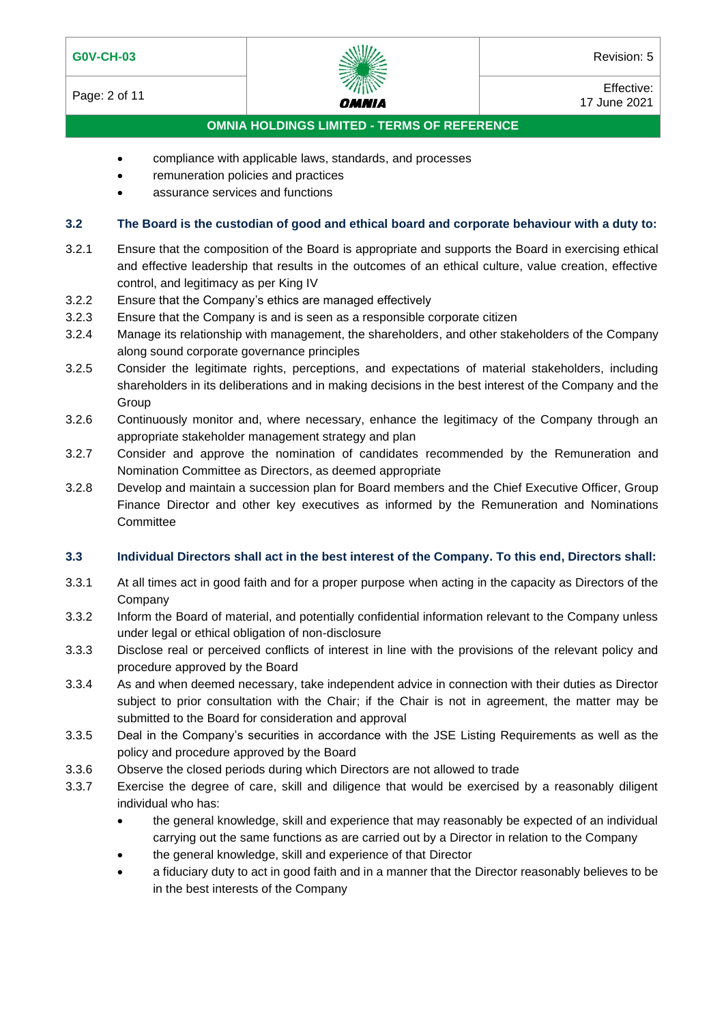Page: 2 of 11 **Effective:**  $\frac{m}{n}$   $\frac{m}{n}$   $\frac{m}{n}$  Effective: 17 June 2021

## **OMNIA HOLDINGS LIMITED - TERMS OF REFERENCE**

- compliance with applicable laws, standards, and processes
- remuneration policies and practices
- assurance services and functions

## **3.2 The Board is the custodian of good and ethical board and corporate behaviour with a duty to:**

- 3.2.1 Ensure that the composition of the Board is appropriate and supports the Board in exercising ethical and effective leadership that results in the outcomes of an ethical culture, value creation, effective control, and legitimacy as per King IV
- 3.2.2 Ensure that the Company's ethics are managed effectively
- 3.2.3 Ensure that the Company is and is seen as a responsible corporate citizen
- 3.2.4 Manage its relationship with management, the shareholders, and other stakeholders of the Company along sound corporate governance principles
- 3.2.5 Consider the legitimate rights, perceptions, and expectations of material stakeholders, including shareholders in its deliberations and in making decisions in the best interest of the Company and the **Group**
- 3.2.6 Continuously monitor and, where necessary, enhance the legitimacy of the Company through an appropriate stakeholder management strategy and plan
- 3.2.7 Consider and approve the nomination of candidates recommended by the Remuneration and Nomination Committee as Directors, as deemed appropriate
- 3.2.8 Develop and maintain a succession plan for Board members and the Chief Executive Officer, Group Finance Director and other key executives as informed by the Remuneration and Nominations **Committee**

## **3.3 Individual Directors shall act in the best interest of the Company. To this end, Directors shall:**

- 3.3.1 At all times act in good faith and for a proper purpose when acting in the capacity as Directors of the Company
- 3.3.2 Inform the Board of material, and potentially confidential information relevant to the Company unless under legal or ethical obligation of non-disclosure
- 3.3.3 Disclose real or perceived conflicts of interest in line with the provisions of the relevant policy and procedure approved by the Board
- 3.3.4 As and when deemed necessary, take independent advice in connection with their duties as Director subject to prior consultation with the Chair; if the Chair is not in agreement, the matter may be submitted to the Board for consideration and approval
- 3.3.5 Deal in the Company's securities in accordance with the JSE Listing Requirements as well as the policy and procedure approved by the Board
- 3.3.6 Observe the closed periods during which Directors are not allowed to trade
- 3.3.7 Exercise the degree of care, skill and diligence that would be exercised by a reasonably diligent individual who has:
	- the general knowledge, skill and experience that may reasonably be expected of an individual carrying out the same functions as are carried out by a Director in relation to the Company
	- the general knowledge, skill and experience of that Director
	- a fiduciary duty to act in good faith and in a manner that the Director reasonably believes to be in the best interests of the Company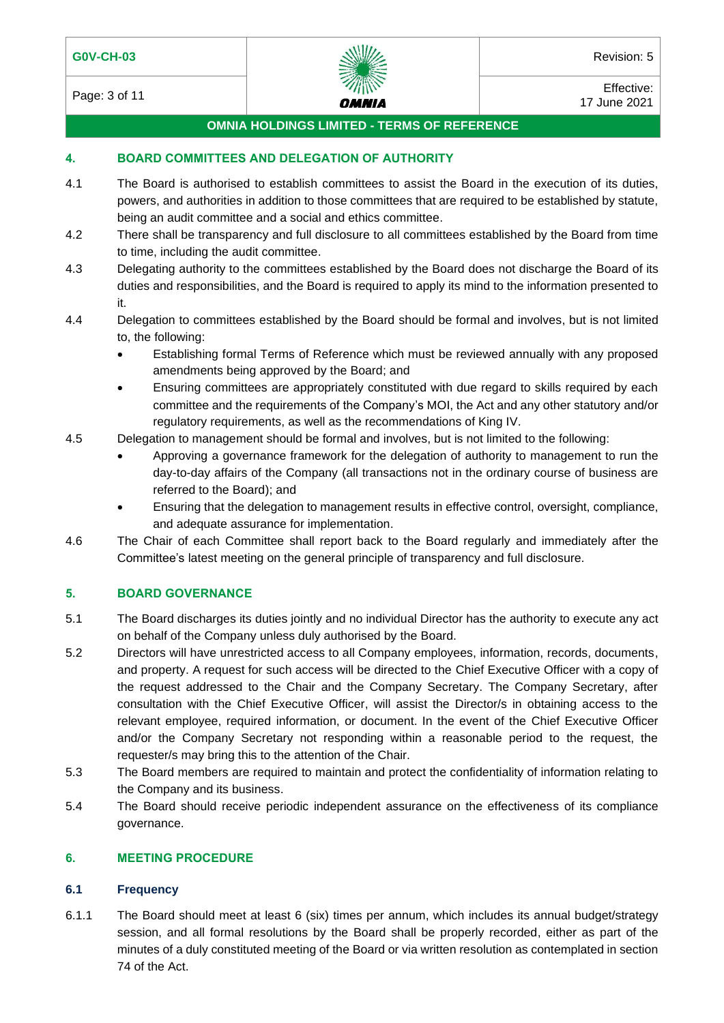Page: 3 of 11 **Effective:**  $\frac{m}{n}$   $\frac{m}{n}$   $\frac{m}{n}$  Effective: 17 June 2021

# **OMNIA HOLDINGS LIMITED - TERMS OF REFERENCE**

## **4. BOARD COMMITTEES AND DELEGATION OF AUTHORITY**

- 4.1 The Board is authorised to establish committees to assist the Board in the execution of its duties, powers, and authorities in addition to those committees that are required to be established by statute, being an audit committee and a social and ethics committee.
- 4.2 There shall be transparency and full disclosure to all committees established by the Board from time to time, including the audit committee.
- 4.3 Delegating authority to the committees established by the Board does not discharge the Board of its duties and responsibilities, and the Board is required to apply its mind to the information presented to it.
- 4.4 Delegation to committees established by the Board should be formal and involves, but is not limited to, the following:
	- Establishing formal Terms of Reference which must be reviewed annually with any proposed amendments being approved by the Board; and
	- Ensuring committees are appropriately constituted with due regard to skills required by each committee and the requirements of the Company's MOI, the Act and any other statutory and/or regulatory requirements, as well as the recommendations of King IV.
- 4.5 Delegation to management should be formal and involves, but is not limited to the following:
	- Approving a governance framework for the delegation of authority to management to run the day-to-day affairs of the Company (all transactions not in the ordinary course of business are referred to the Board); and
	- Ensuring that the delegation to management results in effective control, oversight, compliance, and adequate assurance for implementation.
- 4.6 The Chair of each Committee shall report back to the Board regularly and immediately after the Committee's latest meeting on the general principle of transparency and full disclosure.

## **5. BOARD GOVERNANCE**

- 5.1 The Board discharges its duties jointly and no individual Director has the authority to execute any act on behalf of the Company unless duly authorised by the Board.
- 5.2 Directors will have unrestricted access to all Company employees, information, records, documents, and property. A request for such access will be directed to the Chief Executive Officer with a copy of the request addressed to the Chair and the Company Secretary. The Company Secretary, after consultation with the Chief Executive Officer, will assist the Director/s in obtaining access to the relevant employee, required information, or document. In the event of the Chief Executive Officer and/or the Company Secretary not responding within a reasonable period to the request, the requester/s may bring this to the attention of the Chair.
- 5.3 The Board members are required to maintain and protect the confidentiality of information relating to the Company and its business.
- 5.4 The Board should receive periodic independent assurance on the effectiveness of its compliance governance.

## **6. MEETING PROCEDURE**

## **6.1 Frequency**

6.1.1 The Board should meet at least 6 (six) times per annum, which includes its annual budget/strategy session, and all formal resolutions by the Board shall be properly recorded, either as part of the minutes of a duly constituted meeting of the Board or via written resolution as contemplated in section 74 of the Act.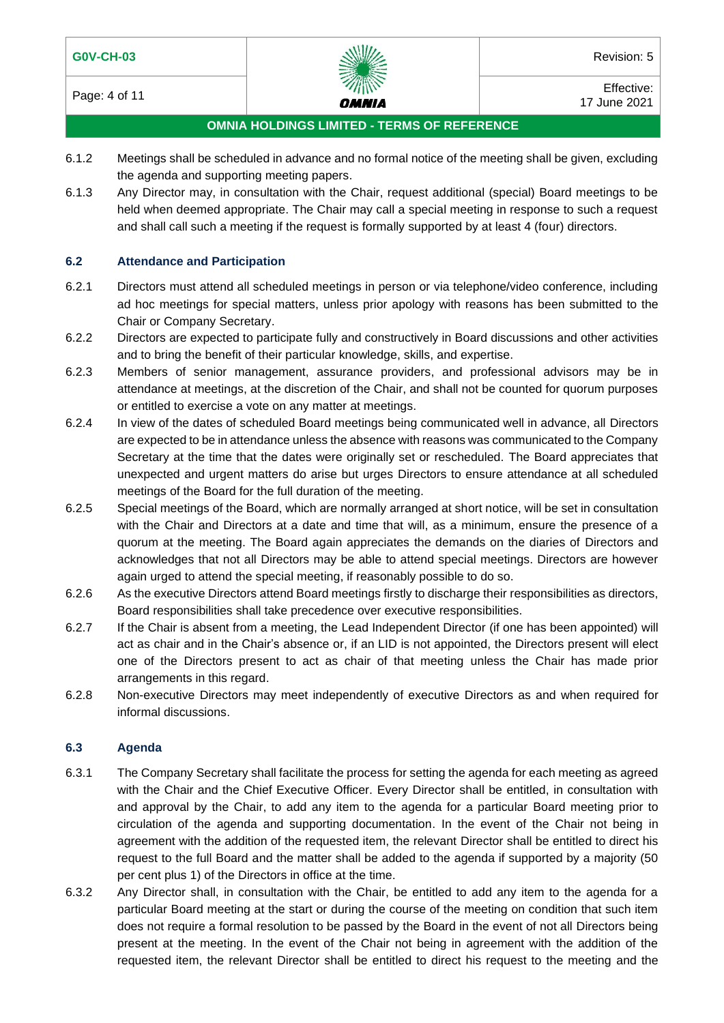

Page: 4 of 11 **Effective:**  $\frac{m}{n}$   $\frac{m}{n}$   $\frac{m}{n}$  Effective: 17 June 2021

## **OMNIA HOLDINGS LIMITED - TERMS OF REFERENCE**

- 6.1.2 Meetings shall be scheduled in advance and no formal notice of the meeting shall be given, excluding the agenda and supporting meeting papers.
- 6.1.3 Any Director may, in consultation with the Chair, request additional (special) Board meetings to be held when deemed appropriate. The Chair may call a special meeting in response to such a request and shall call such a meeting if the request is formally supported by at least 4 (four) directors.

## **6.2 Attendance and Participation**

- 6.2.1 Directors must attend all scheduled meetings in person or via telephone/video conference, including ad hoc meetings for special matters, unless prior apology with reasons has been submitted to the Chair or Company Secretary.
- 6.2.2 Directors are expected to participate fully and constructively in Board discussions and other activities and to bring the benefit of their particular knowledge, skills, and expertise.
- 6.2.3 Members of senior management, assurance providers, and professional advisors may be in attendance at meetings, at the discretion of the Chair, and shall not be counted for quorum purposes or entitled to exercise a vote on any matter at meetings.
- 6.2.4 In view of the dates of scheduled Board meetings being communicated well in advance, all Directors are expected to be in attendance unless the absence with reasons was communicated to the Company Secretary at the time that the dates were originally set or rescheduled. The Board appreciates that unexpected and urgent matters do arise but urges Directors to ensure attendance at all scheduled meetings of the Board for the full duration of the meeting.
- 6.2.5 Special meetings of the Board, which are normally arranged at short notice, will be set in consultation with the Chair and Directors at a date and time that will, as a minimum, ensure the presence of a quorum at the meeting. The Board again appreciates the demands on the diaries of Directors and acknowledges that not all Directors may be able to attend special meetings. Directors are however again urged to attend the special meeting, if reasonably possible to do so.
- 6.2.6 As the executive Directors attend Board meetings firstly to discharge their responsibilities as directors, Board responsibilities shall take precedence over executive responsibilities.
- 6.2.7 If the Chair is absent from a meeting, the Lead Independent Director (if one has been appointed) will act as chair and in the Chair's absence or, if an LID is not appointed, the Directors present will elect one of the Directors present to act as chair of that meeting unless the Chair has made prior arrangements in this regard.
- 6.2.8 Non-executive Directors may meet independently of executive Directors as and when required for informal discussions.

## **6.3 Agenda**

- 6.3.1 The Company Secretary shall facilitate the process for setting the agenda for each meeting as agreed with the Chair and the Chief Executive Officer. Every Director shall be entitled, in consultation with and approval by the Chair, to add any item to the agenda for a particular Board meeting prior to circulation of the agenda and supporting documentation. In the event of the Chair not being in agreement with the addition of the requested item, the relevant Director shall be entitled to direct his request to the full Board and the matter shall be added to the agenda if supported by a majority (50 per cent plus 1) of the Directors in office at the time.
- 6.3.2 Any Director shall, in consultation with the Chair, be entitled to add any item to the agenda for a particular Board meeting at the start or during the course of the meeting on condition that such item does not require a formal resolution to be passed by the Board in the event of not all Directors being present at the meeting. In the event of the Chair not being in agreement with the addition of the requested item, the relevant Director shall be entitled to direct his request to the meeting and the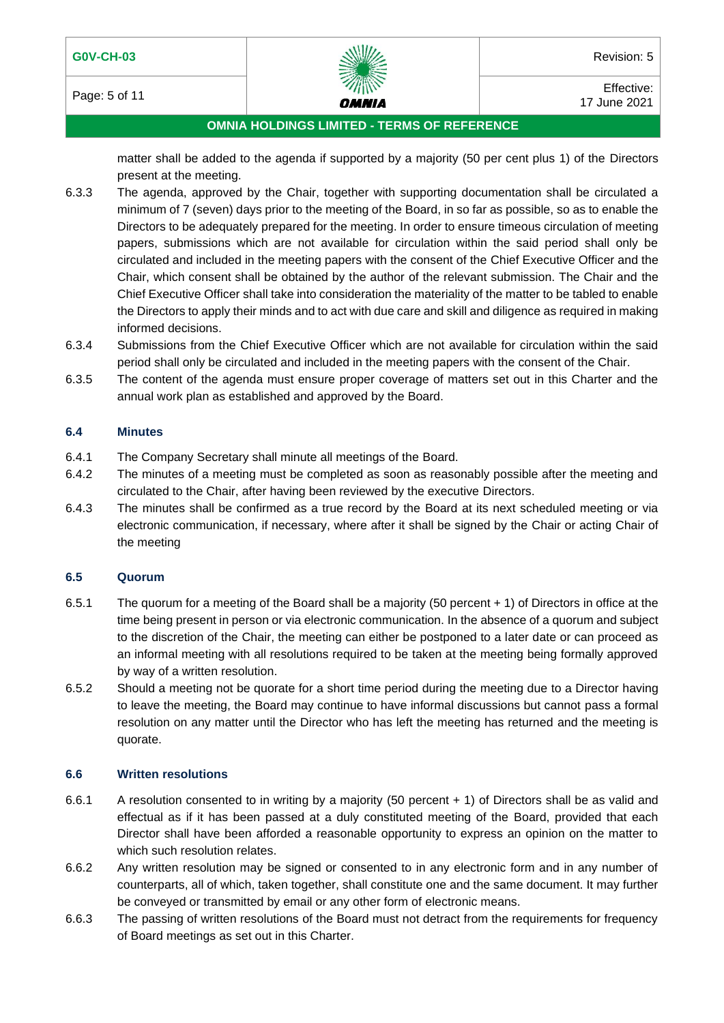Page: 5 of 11 **Effective:**  $\frac{m}{1000}$  Effective: 17 June 2021

# **OMNIA HOLDINGS LIMITED - TERMS OF REFERENCE**

matter shall be added to the agenda if supported by a majority (50 per cent plus 1) of the Directors present at the meeting.

- 6.3.3 The agenda, approved by the Chair, together with supporting documentation shall be circulated a minimum of 7 (seven) days prior to the meeting of the Board, in so far as possible, so as to enable the Directors to be adequately prepared for the meeting. In order to ensure timeous circulation of meeting papers, submissions which are not available for circulation within the said period shall only be circulated and included in the meeting papers with the consent of the Chief Executive Officer and the Chair, which consent shall be obtained by the author of the relevant submission. The Chair and the Chief Executive Officer shall take into consideration the materiality of the matter to be tabled to enable the Directors to apply their minds and to act with due care and skill and diligence as required in making informed decisions.
- 6.3.4 Submissions from the Chief Executive Officer which are not available for circulation within the said period shall only be circulated and included in the meeting papers with the consent of the Chair.
- 6.3.5 The content of the agenda must ensure proper coverage of matters set out in this Charter and the annual work plan as established and approved by the Board.

## **6.4 Minutes**

- 6.4.1 The Company Secretary shall minute all meetings of the Board.
- 6.4.2 The minutes of a meeting must be completed as soon as reasonably possible after the meeting and circulated to the Chair, after having been reviewed by the executive Directors.
- 6.4.3 The minutes shall be confirmed as a true record by the Board at its next scheduled meeting or via electronic communication, if necessary, where after it shall be signed by the Chair or acting Chair of the meeting

## **6.5 Quorum**

- 6.5.1 The quorum for a meeting of the Board shall be a majority (50 percent + 1) of Directors in office at the time being present in person or via electronic communication. In the absence of a quorum and subject to the discretion of the Chair, the meeting can either be postponed to a later date or can proceed as an informal meeting with all resolutions required to be taken at the meeting being formally approved by way of a written resolution.
- 6.5.2 Should a meeting not be quorate for a short time period during the meeting due to a Director having to leave the meeting, the Board may continue to have informal discussions but cannot pass a formal resolution on any matter until the Director who has left the meeting has returned and the meeting is quorate.

## **6.6 Written resolutions**

- 6.6.1 A resolution consented to in writing by a majority (50 percent + 1) of Directors shall be as valid and effectual as if it has been passed at a duly constituted meeting of the Board, provided that each Director shall have been afforded a reasonable opportunity to express an opinion on the matter to which such resolution relates.
- 6.6.2 Any written resolution may be signed or consented to in any electronic form and in any number of counterparts, all of which, taken together, shall constitute one and the same document. It may further be conveyed or transmitted by email or any other form of electronic means.
- 6.6.3 The passing of written resolutions of the Board must not detract from the requirements for frequency of Board meetings as set out in this Charter.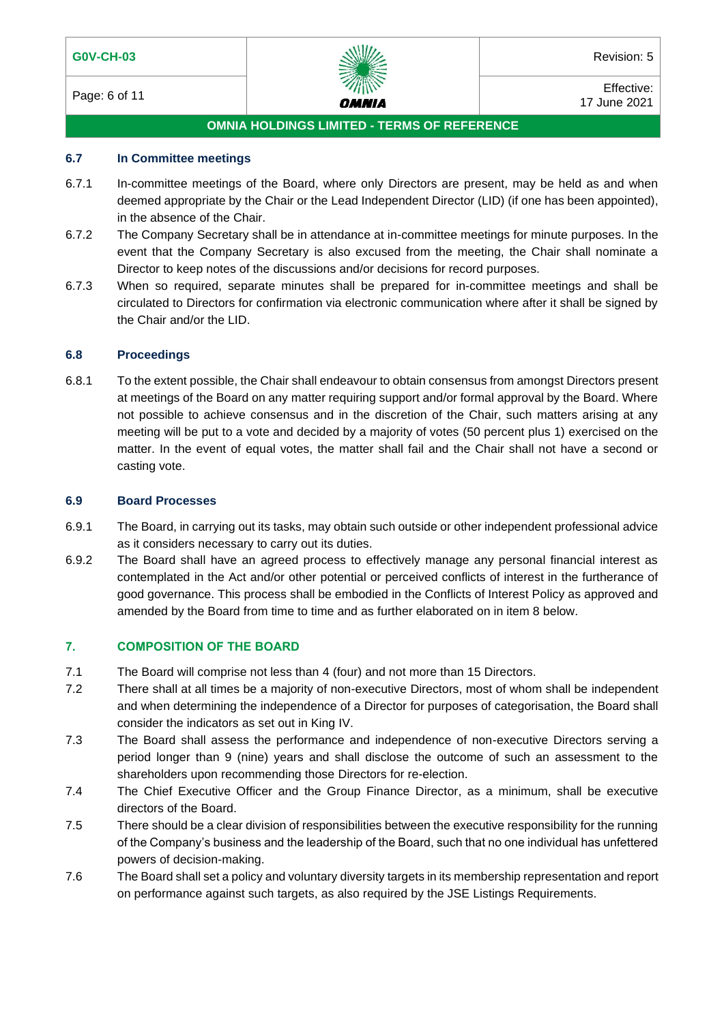

Page: 6 of 11 **Effective:**  $\frac{m}{n}$   $\frac{m}{n}$  Effective: 17 June 2021

## **OMNIA HOLDINGS LIMITED - TERMS OF REFERENCE**

#### **6.7 In Committee meetings**

- 6.7.1 In-committee meetings of the Board, where only Directors are present, may be held as and when deemed appropriate by the Chair or the Lead Independent Director (LID) (if one has been appointed), in the absence of the Chair.
- 6.7.2 The Company Secretary shall be in attendance at in-committee meetings for minute purposes. In the event that the Company Secretary is also excused from the meeting, the Chair shall nominate a Director to keep notes of the discussions and/or decisions for record purposes.
- 6.7.3 When so required, separate minutes shall be prepared for in-committee meetings and shall be circulated to Directors for confirmation via electronic communication where after it shall be signed by the Chair and/or the LID.

#### **6.8 Proceedings**

6.8.1 To the extent possible, the Chair shall endeavour to obtain consensus from amongst Directors present at meetings of the Board on any matter requiring support and/or formal approval by the Board. Where not possible to achieve consensus and in the discretion of the Chair, such matters arising at any meeting will be put to a vote and decided by a majority of votes (50 percent plus 1) exercised on the matter. In the event of equal votes, the matter shall fail and the Chair shall not have a second or casting vote.

#### **6.9 Board Processes**

- 6.9.1 The Board, in carrying out its tasks, may obtain such outside or other independent professional advice as it considers necessary to carry out its duties.
- 6.9.2 The Board shall have an agreed process to effectively manage any personal financial interest as contemplated in the Act and/or other potential or perceived conflicts of interest in the furtherance of good governance. This process shall be embodied in the Conflicts of Interest Policy as approved and amended by the Board from time to time and as further elaborated on in item 8 below.

## **7. COMPOSITION OF THE BOARD**

- 7.1 The Board will comprise not less than 4 (four) and not more than 15 Directors.
- 7.2 There shall at all times be a majority of non-executive Directors, most of whom shall be independent and when determining the independence of a Director for purposes of categorisation, the Board shall consider the indicators as set out in King IV.
- 7.3 The Board shall assess the performance and independence of non-executive Directors serving a period longer than 9 (nine) years and shall disclose the outcome of such an assessment to the shareholders upon recommending those Directors for re-election.
- 7.4 The Chief Executive Officer and the Group Finance Director, as a minimum, shall be executive directors of the Board.
- 7.5 There should be a clear division of responsibilities between the executive responsibility for the running of the Company's business and the leadership of the Board, such that no one individual has unfettered powers of decision-making.
- 7.6 The Board shall set a policy and voluntary diversity targets in its membership representation and report on performance against such targets, as also required by the JSE Listings Requirements.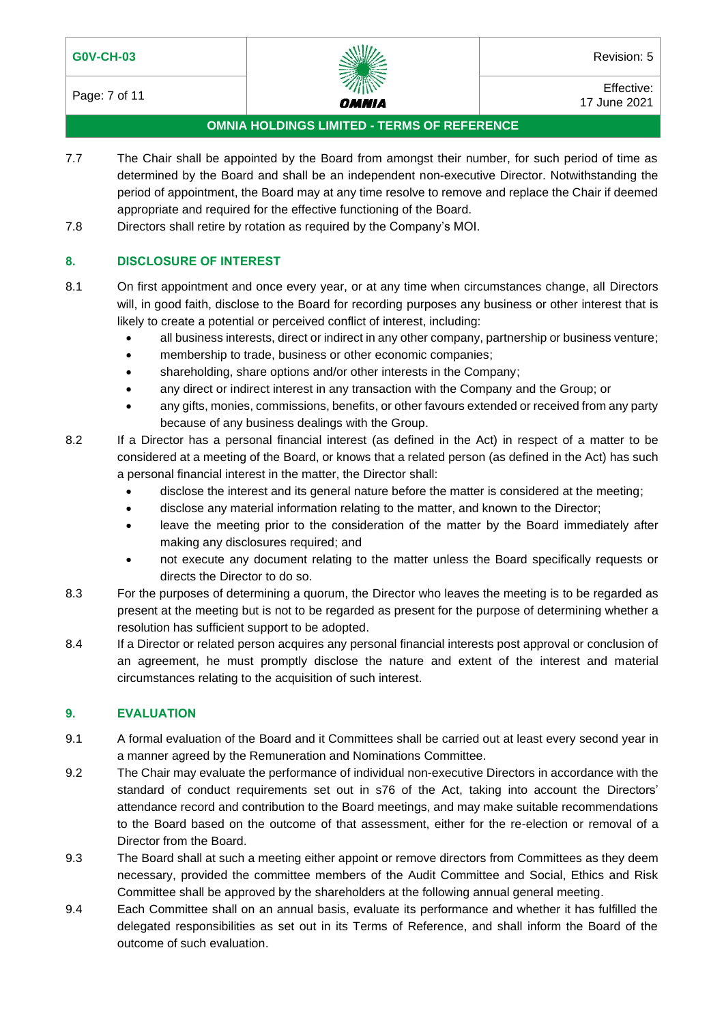

Page: 7 of 11 **Effective:**  $\frac{m}{n}$   $\frac{m}{n}$   $\frac{m}{n}$  Effective: 17 June 2021

## **OMNIA HOLDINGS LIMITED - TERMS OF REFERENCE**

- 7.7 The Chair shall be appointed by the Board from amongst their number, for such period of time as determined by the Board and shall be an independent non-executive Director. Notwithstanding the period of appointment, the Board may at any time resolve to remove and replace the Chair if deemed appropriate and required for the effective functioning of the Board.
- 7.8 Directors shall retire by rotation as required by the Company's MOI.

# **8. DISCLOSURE OF INTEREST**

- 8.1 On first appointment and once every year, or at any time when circumstances change, all Directors will, in good faith, disclose to the Board for recording purposes any business or other interest that is likely to create a potential or perceived conflict of interest, including:
	- all business interests, direct or indirect in any other company, partnership or business venture;
	- membership to trade, business or other economic companies;
	- shareholding, share options and/or other interests in the Company;
	- any direct or indirect interest in any transaction with the Company and the Group; or
	- any gifts, monies, commissions, benefits, or other favours extended or received from any party because of any business dealings with the Group.
- 8.2 If a Director has a personal financial interest (as defined in the Act) in respect of a matter to be considered at a meeting of the Board, or knows that a related person (as defined in the Act) has such a personal financial interest in the matter, the Director shall:
	- disclose the interest and its general nature before the matter is considered at the meeting;
	- disclose any material information relating to the matter, and known to the Director;
	- leave the meeting prior to the consideration of the matter by the Board immediately after making any disclosures required; and
	- not execute any document relating to the matter unless the Board specifically requests or directs the Director to do so.
- 8.3 For the purposes of determining a quorum, the Director who leaves the meeting is to be regarded as present at the meeting but is not to be regarded as present for the purpose of determining whether a resolution has sufficient support to be adopted.
- 8.4 If a Director or related person acquires any personal financial interests post approval or conclusion of an agreement, he must promptly disclose the nature and extent of the interest and material circumstances relating to the acquisition of such interest.

## **9. EVALUATION**

- 9.1 A formal evaluation of the Board and it Committees shall be carried out at least every second year in a manner agreed by the Remuneration and Nominations Committee.
- 9.2 The Chair may evaluate the performance of individual non-executive Directors in accordance with the standard of conduct requirements set out in s76 of the Act, taking into account the Directors' attendance record and contribution to the Board meetings, and may make suitable recommendations to the Board based on the outcome of that assessment, either for the re-election or removal of a Director from the Board.
- 9.3 The Board shall at such a meeting either appoint or remove directors from Committees as they deem necessary, provided the committee members of the Audit Committee and Social, Ethics and Risk Committee shall be approved by the shareholders at the following annual general meeting.
- 9.4 Each Committee shall on an annual basis, evaluate its performance and whether it has fulfilled the delegated responsibilities as set out in its Terms of Reference, and shall inform the Board of the outcome of such evaluation.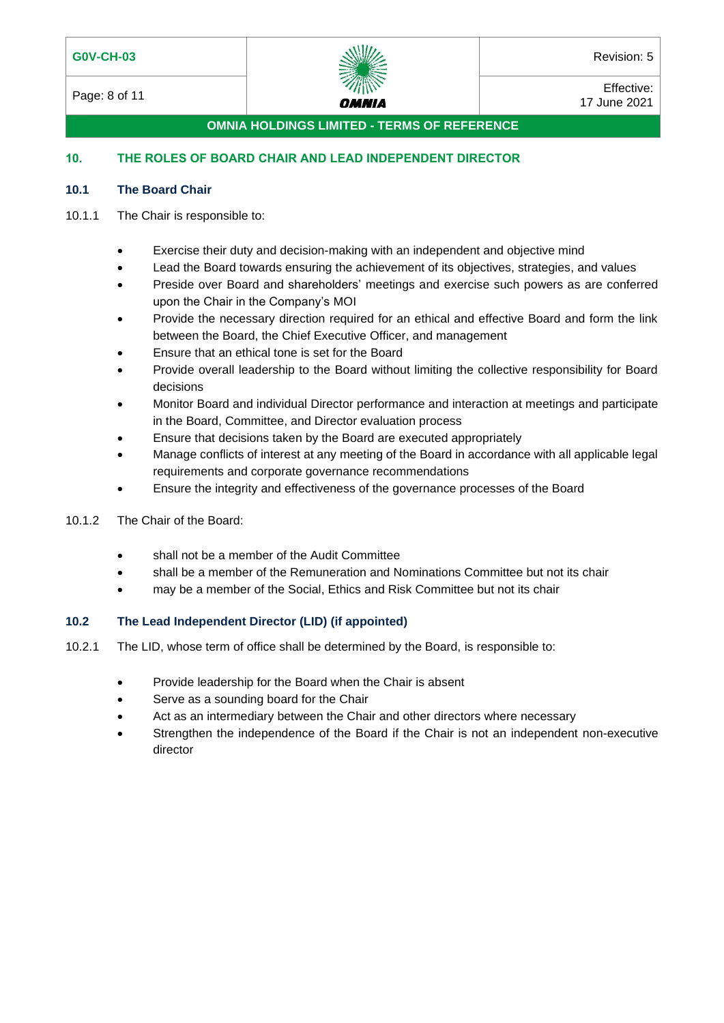

**OMNIA HOLDINGS LIMITED - TERMS OF REFERENCE**

# **10. THE ROLES OF BOARD CHAIR AND LEAD INDEPENDENT DIRECTOR**

## **10.1 The Board Chair**

## 10.1.1 The Chair is responsible to:

- Exercise their duty and decision-making with an independent and objective mind
- Lead the Board towards ensuring the achievement of its objectives, strategies, and values
- Preside over Board and shareholders' meetings and exercise such powers as are conferred upon the Chair in the Company's MOI
- Provide the necessary direction required for an ethical and effective Board and form the link between the Board, the Chief Executive Officer, and management
- Ensure that an ethical tone is set for the Board
- Provide overall leadership to the Board without limiting the collective responsibility for Board decisions
- Monitor Board and individual Director performance and interaction at meetings and participate in the Board, Committee, and Director evaluation process
- Ensure that decisions taken by the Board are executed appropriately
- Manage conflicts of interest at any meeting of the Board in accordance with all applicable legal requirements and corporate governance recommendations
- Ensure the integrity and effectiveness of the governance processes of the Board
- 10.1.2 The Chair of the Board:
	- shall not be a member of the Audit Committee
	- shall be a member of the Remuneration and Nominations Committee but not its chair
	- may be a member of the Social, Ethics and Risk Committee but not its chair

# **10.2 The Lead Independent Director (LID) (if appointed)**

- 10.2.1 The LID, whose term of office shall be determined by the Board, is responsible to:
	- Provide leadership for the Board when the Chair is absent
	- Serve as a sounding board for the Chair
		- Act as an intermediary between the Chair and other directors where necessary
	- Strengthen the independence of the Board if the Chair is not an independent non-executive director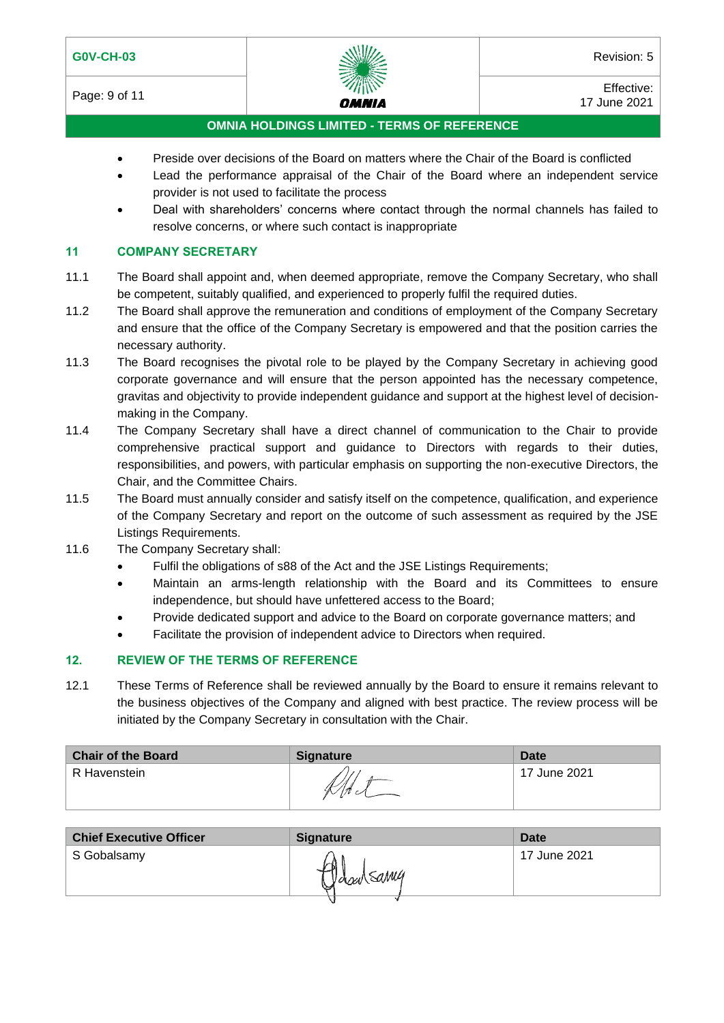Page: 9 of 11 **Effective:**  $\frac{2.34}{100}$  Effective: 17 June 2021

# **OMNIA HOLDINGS LIMITED - TERMS OF REFERENCE**

- Preside over decisions of the Board on matters where the Chair of the Board is conflicted
- Lead the performance appraisal of the Chair of the Board where an independent service provider is not used to facilitate the process
- Deal with shareholders' concerns where contact through the normal channels has failed to resolve concerns, or where such contact is inappropriate

#### **11 COMPANY SECRETARY**

- 11.1 The Board shall appoint and, when deemed appropriate, remove the Company Secretary, who shall be competent, suitably qualified, and experienced to properly fulfil the required duties.
- 11.2 The Board shall approve the remuneration and conditions of employment of the Company Secretary and ensure that the office of the Company Secretary is empowered and that the position carries the necessary authority.
- 11.3 The Board recognises the pivotal role to be played by the Company Secretary in achieving good corporate governance and will ensure that the person appointed has the necessary competence, gravitas and objectivity to provide independent guidance and support at the highest level of decisionmaking in the Company.
- 11.4 The Company Secretary shall have a direct channel of communication to the Chair to provide comprehensive practical support and guidance to Directors with regards to their duties, responsibilities, and powers, with particular emphasis on supporting the non-executive Directors, the Chair, and the Committee Chairs.
- 11.5 The Board must annually consider and satisfy itself on the competence, qualification, and experience of the Company Secretary and report on the outcome of such assessment as required by the JSE Listings Requirements.
- 11.6 The Company Secretary shall:
	- Fulfil the obligations of s88 of the Act and the JSE Listings Requirements;
	- Maintain an arms-length relationship with the Board and its Committees to ensure independence, but should have unfettered access to the Board;
	- Provide dedicated support and advice to the Board on corporate governance matters; and
	- Facilitate the provision of independent advice to Directors when required.

## **12. REVIEW OF THE TERMS OF REFERENCE**

12.1 These Terms of Reference shall be reviewed annually by the Board to ensure it remains relevant to the business objectives of the Company and aligned with best practice. The review process will be initiated by the Company Secretary in consultation with the Chair.

| <b>Chair of the Board</b> | <b>Signature</b> | Date         |
|---------------------------|------------------|--------------|
| R Havenstein              | 11               | 17 June 2021 |

| <b>Chief Executive Officer</b> | <b>Signature</b> | Date         |
|--------------------------------|------------------|--------------|
| S Gobalsamy                    | yasulsanu        | 17 June 2021 |
|                                |                  |              |